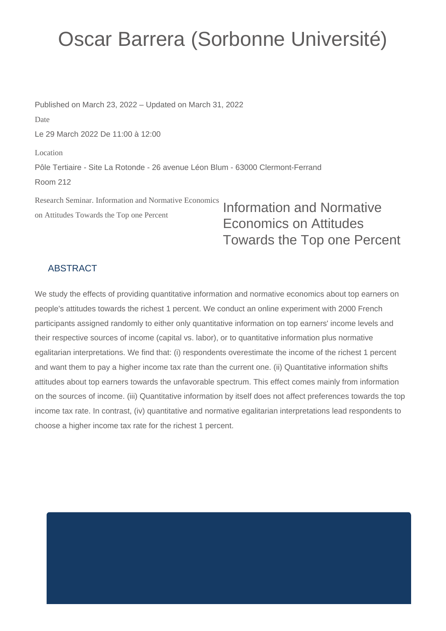## Oscar Barrera (Sorbonne Université)

Published on March 23, 2022 – Updated on March 31, 2022 Date Le 29 March 2022 De 11:00 à 12:00 Location Pôle Tertiaire - Site La Rotonde - 26 avenue Léon Blum - 63000 Clermont-Ferrand Room 212

Research Seminar. Information and Normative Economics on Attitudes Towards the Top one Percent

Information and Normative Economics on Attitudes Towards the Top one Percent

## **ABSTRACT**

We study the effects of providing quantitative information and normative economics about top earners on people's attitudes towards the richest 1 percent. We conduct an online experiment with 2000 French participants assigned randomly to either only quantitative information on top earners' income levels and their respective sources of income (capital vs. labor), or to quantitative information plus normative egalitarian interpretations. We find that: (i) respondents overestimate the income of the richest 1 percent and want them to pay a higher income tax rate than the current one. (ii) Quantitative information shifts attitudes about top earners towards the unfavorable spectrum. This effect comes mainly from information on the sources of income. (iii) Quantitative information by itself does not affect preferences towards the top income tax rate. In contrast, (iv) quantitative and normative egalitarian interpretations lead respondents to choose a higher income tax rate for the richest 1 percent.